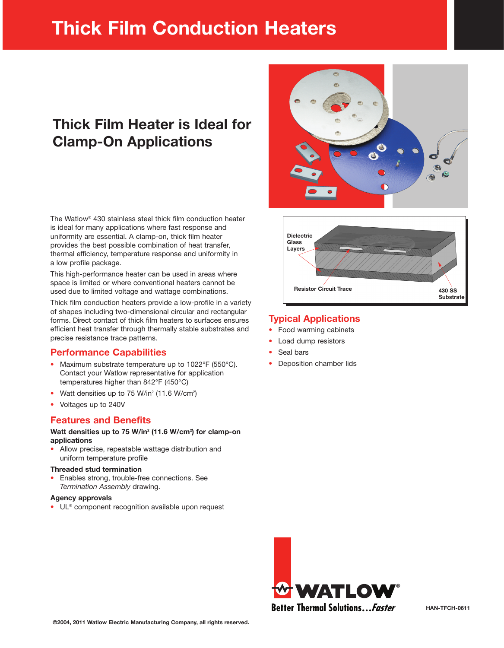# **Thick Film Conduction Heaters**

# Thick Film Heater is Ideal for **Clamp-On Applications**

The Watlow® 430 stainless steel thick film conduction heater is ideal for many applications where fast response and uniformity are essential. A clamp-on, thick film heater provides the best possible combination of heat transfer, thermal efficiency, temperature response and uniformity in a low profile package.

This high-performance heater can be used in areas where space is limited or where conventional heaters cannot be used due to limited voltage and wattage combinations.

Thick film conduction heaters provide a low-profile in a variety of shapes including two-dimensional circular and rectangular forms. Direct contact of thick film heaters to surfaces ensures efficient heat transfer through thermally stable substrates and precise resistance trace patterns.

#### **Performance Capabilities**

- Maximum substrate temperature up to 1022°F (550°C). Contact your Watlow representative for application temperatures higher than 842°F (450°C)
- Watt densities up to 75 W/in<sup>2</sup> (11.6 W/cm<sup>2</sup>)
- Voltages up to 240V

#### **Features and Benefits**

#### Watt densities up to 75 W/in<sup>2</sup> (11.6 W/cm<sup>2</sup>) for clamp-on applications

Allow precise, repeatable wattage distribution and uniform temperature profile

#### **Threaded stud termination**

Enables strong, trouble-free connections. See Termination Assembly drawing.

#### **Agency approvals**

• UL<sup>®</sup> component recognition available upon request





### **Typical Applications**

- Food warming cabinets
- Load dump resistors
- Seal bars
- Deposition chamber lids

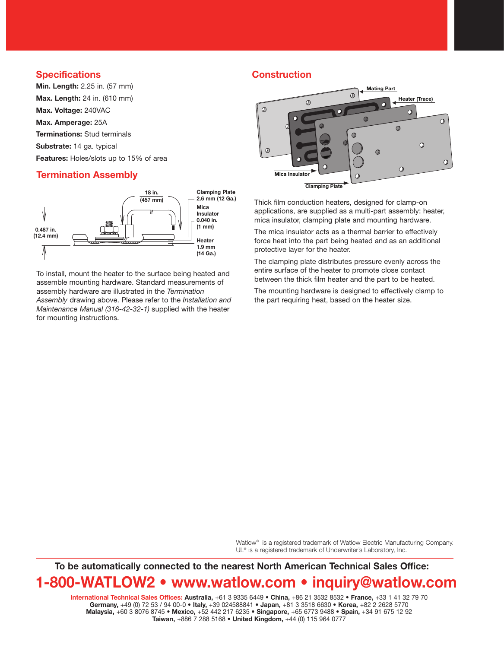#### **Specifications**

Min. Length: 2.25 in. (57 mm) Max. Length: 24 in. (610 mm) Max. Voltage: 240VAC Max. Amperage: 25A **Terminations: Stud terminals** Substrate: 14 ga. typical Features: Holes/slots up to 15% of area

#### **Termination Assembly**



To install, mount the heater to the surface being heated and assemble mounting hardware. Standard measurements of assembly hardware are illustrated in the Termination Assembly drawing above. Please refer to the Installation and Maintenance Manual (316-42-32-1) supplied with the heater for mounting instructions.

#### **Construction**



Thick film conduction heaters, designed for clamp-on applications, are supplied as a multi-part assembly: heater, mica insulator, clamping plate and mounting hardware.

The mica insulator acts as a thermal barrier to effectively force heat into the part being heated and as an additional protective layer for the heater.

The clamping plate distributes pressure evenly across the entire surface of the heater to promote close contact between the thick film heater and the part to be heated.

The mounting hardware is designed to effectively clamp to the part requiring heat, based on the heater size.

Watlow® is a registered trademark of Watlow Electric Manufacturing Company. UL® is a registered trademark of Underwriter's Laboratory, Inc.

To be automatically connected to the nearest North American Technical Sales Office:

## 1-800-WATLOW2 • www.watlow.com • inquiry@watlow.com

International Technical Sales Offices: Australia, +61 3 9335 6449 · China, +86 21 3532 8532 · France, +33 1 41 32 79 70 Germany, +49 (0) 72 53 / 94 00-0 · Italy, +39 024588841 · Japan, +81 3 3518 6630 · Korea, +82 2 2628 5770 Malaysia, +60 3 8076 8745 · Mexico, +52 442 217 6235 · Singapore, +65 6773 9488 · Spain, +34 91 675 12 92 Taiwan, +886 7 288 5168 . United Kingdom, +44 (0) 115 964 0777